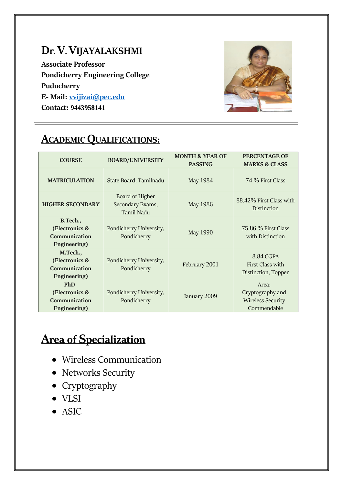#### **Dr. V. VIJAYALAKSHMI**

**Associate Professor Pondicherry Engineering College Puducherry E- Mail: [vvijizai@pec.edu](mailto:vvijizai@pec.edu) Contact: 9443958141**



#### **ACADEMIC QUALIFICATIONS:**

| <b>COURSE</b>                                                 | <b>BOARD/UNIVERSITY</b>                           | <b>MONTH &amp; YEAR OF</b><br><b>PASSING</b> | <b>PERCENTAGE OF</b><br><b>MARKS &amp; CLASS</b>                     |  |
|---------------------------------------------------------------|---------------------------------------------------|----------------------------------------------|----------------------------------------------------------------------|--|
| <b>MATRICULATION</b>                                          | State Board, Tamilnadu                            | May 1984                                     | 74 % First Class                                                     |  |
| <b>HIGHER SECONDARY</b>                                       | Board of Higher<br>Secondary Exams,<br>Tamil Nadu | May 1986                                     | 88.42% First Class with<br><b>Distinction</b>                        |  |
| B.Tech.,<br>(Electronics &<br>Communication<br>Engineering)   | Pondicherry University,<br>Pondicherry            | May 1990                                     | <b>75.86 % First Class</b><br>with Distinction                       |  |
| M.Tech.,<br>(Electronics &<br>Communication<br>Engineering)   | Pondicherry University,<br>Pondicherry            | February 2001                                | 8.84 CGPA<br>First Class with<br>Distinction, Topper                 |  |
| <b>PhD</b><br>(Electronics &<br>Communication<br>Engineering) | Pondicherry University,<br>Pondicherry            | January 2009                                 | Area:<br>Cryptography and<br><b>Wireless Security</b><br>Commendable |  |

## **Area of Specialization**

- Wireless Communication
- Networks Security
- Cryptography
- VLSI
- ASIC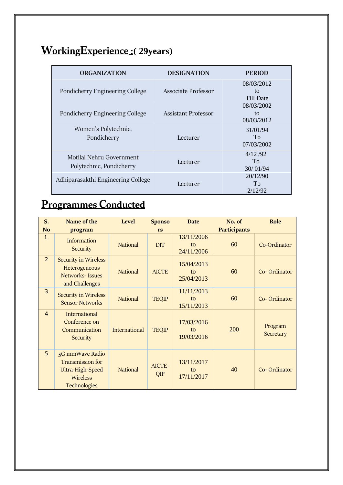# **WorkingExperience :( 29years)**

| <b>ORGANIZATION</b>                                  | <b>DESIGNATION</b>  | <b>PERIOD</b>                  |  |
|------------------------------------------------------|---------------------|--------------------------------|--|
| Pondicherry Engineering College                      | Associate Professor | 08/03/2012<br>tΩ<br>Till Date  |  |
| Pondicherry Engineering College                      | Assistant Professor | 08/03/2002<br>to<br>08/03/2012 |  |
| Women's Polytechnic,<br>Pondicherry                  | Lecturer            | 31/01/94<br>To<br>07/03/2002   |  |
| Motilal Nehru Government<br>Polytechnic, Pondicherry | Lecturer            | 4/12/92<br>To<br>30/01/94      |  |
| Adhiparasakthi Engineering College                   | Lecturer            | 20/12/90<br>To<br>2/12/92      |  |

# **Programmes Conducted**

| S.<br><b>No</b> | Name of the<br>program                                                                            | Level                | <b>Sponso</b><br>rs | <b>Date</b>                    | No. of<br><b>Participants</b> | Role                 |
|-----------------|---------------------------------------------------------------------------------------------------|----------------------|---------------------|--------------------------------|-------------------------------|----------------------|
| 1.              | Information<br>Security                                                                           | <b>National</b>      | <b>DIT</b>          | 13/11/2006<br>to<br>24/11/2006 | 60                            | Co-Ordinator         |
| $\overline{2}$  | <b>Security in Wireless</b><br>Heterogeneous<br><b>Networks-Issues</b><br>and Challenges          | <b>National</b>      | <b>AICTE</b>        | 15/04/2013<br>to<br>25/04/2013 | 60                            | Co-Ordinator         |
| $\overline{3}$  | <b>Security in Wireless</b><br><b>Sensor Networks</b>                                             | <b>National</b>      | <b>TEQIP</b>        | 11/11/2013<br>to<br>15/11/2013 | 60                            | Co-Ordinator         |
| $\overline{4}$  | <b>International</b><br>Conference on<br>Communication<br>Security                                | <b>International</b> | <b>TEQIP</b>        | 17/03/2016<br>to<br>19/03/2016 | 200                           | Program<br>Secretary |
| 5               | 5G mmWave Radio<br><b>Transmission for</b><br>Ultra-High-Speed<br>Wireless<br><b>Technologies</b> | <b>National</b>      | AICTE-<br>QIP       | 13/11/2017<br>to<br>17/11/2017 | 40                            | Co-Ordinator         |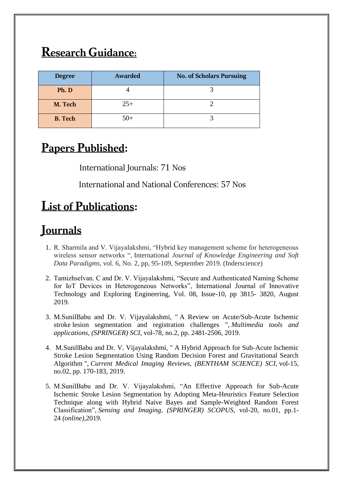## **Research Guidance:**

| <b>Degree</b>  | Awarded | <b>No. of Scholars Pursuing</b> |
|----------------|---------|---------------------------------|
| Ph. D          |         |                                 |
| M. Tech        | $25+$   |                                 |
| <b>B.</b> Tech | $50+$   |                                 |

#### **Papers Published:**

International Journals: 71 Nos

International and National Conferences: 57 Nos

### **List of Publications:**

### **Journals**

- 1. R. Sharmila and V. Vijayalakshmi, "Hybrid key management scheme for heterogeneous wireless sensor networks ", International *Journal of Knowledge Engineering and Soft Data Paradigms,* vol. 6, No. 2, pp, 95-109, September 2019. (Inderscience)
- 2. Tamizhselvan. C and Dr. V. Vijayalakshmi, "Secure and Authenticated Naming Scheme for IoT Devices in Heterogeneous Networks", International Journal of Innovative Technology and Exploring Engineering, Vol. 08, Issue-10, pp 3815- 3820, August 2019.
- 3. M.SunilBabu and Dr. V. Vijayalakshmi, " A Review on Acute/Sub-Acute Ischemic stroke lesion segmentation and registration challenges ", *Multimedia tools and applications, (SPRINGER) SCI*, vol-78, no.2, pp. 2481-2506, 2019.
- 4. M.SunilBabu and Dr. V. Vijayalakshmi, " A Hybrid Approach for Sub-Acute Ischemic Stroke Lesion Segmentation Using Random Decision Forest and Gravitational Search Algorithm ", *Current Medical Imaging Reviews, (BENTHAM SCIENCE) SCI*, vol-15, no.02, pp. 170-183, 2019.
- 5. M.SunilBabu and Dr. V. Vijayalakshmi, "An Effective Approach for Sub-Acute Ischemic Stroke Lesion Segmentation by Adopting Meta-Heuristics Feature Selection Technique along with Hybrid Naive Bayes and Sample-Weighted Random Forest Classification", *Sensing and Imaging, (SPRINGER) SCOPUS*, vol-20, no.01, pp.1- 24 *(online),*2019.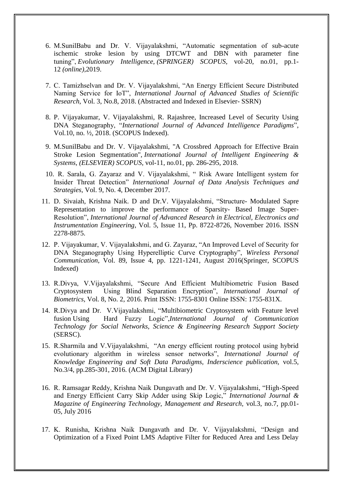- 6. M.SunilBabu and Dr. V. Vijayalakshmi, "Automatic segmentation of sub-acute ischemic stroke lesion by using DTCWT and DBN with parameter fine tuning", *Evolutionary Intelligence, (SPRINGER) SCOPUS*, vol-20, no.01, pp.1- 12 *(online),*2019.
- 7. C. Tamizhselvan and Dr. V. Vijayalakshmi, "An Energy Efficient Secure Distributed Naming Service for IoT", *International Journal of Advanced Studies of Scientific Research*, Vol. 3, No.8, 2018. (Abstracted and Indexed in Elsevier- SSRN)
- 8. P. Vijayakumar, V. Vijayalakshmi, R. Rajashree, Increased Level of Security Using DNA Steganography, "*International Journal of Advanced Intelligence Paradigms*", Vol.10, no. ½, 2018. (SCOPUS Indexed).
- 9. M.SunilBabu and Dr. V. Vijayalakshmi, "A Crossbred Approach for Effective Brain Stroke Lesion Segmentation", *International Journal of Intelligent Engineering & Systems, (ELSEVIER) SCOPUS*, vol-11, no.01, pp. 286-295, 2018.
- 10. R. Sarala, G. Zayaraz and V. Vijayalakshmi, " Risk Aware Intelligent system for Insider Threat Detection" *International Journal of Data Analysis Techniques and Strategies*, Vol. 9, No. 4, December 2017.
- 11. D. Sivaiah, Krishna Naik. D and Dr.V. Vijayalakshmi, "Structure- Modulated Sapre Representation to improve the performance of Sparsity- Based Image Super-Resolution", *International Journal of Advanced Research in Electrical, Electronics and Instrumentation Engineering*, Vol. 5, Issue 11, Pp. 8722-8726, November 2016. ISSN 2278-8875.
- 12. P. Vijayakumar, V. Vijayalakshmi, and G. Zayaraz, "An Improved Level of Security for DNA Steganography Using Hyperelliptic Curve Cryptography", *Wireless Personal Communication*, Vol. 89, Issue 4, pp. 1221-1241, August 2016(Springer, SCOPUS Indexed)
- 13. R.Divya, V.Vijayalakshmi, "Secure And Efficient Multibiometric Fusion Based Cryptosystem Using Blind Separation Encryption", *International Journal of Biometrics*, [Vol. 8, No. 2, 2016.](http://www.inderscience.com/info/inarticletoc.php?jcode=ijbm&year=2016&vol=8&issue=2) Print ISSN: 1755-8301 Online ISSN: 1755-831X.
- 14. R.Divya and Dr. V.Vijayalakshmi, "Multibiometric Cryptosystem with Feature level fusion Using Hard Fuzzy Logic",*International Journal of Communication Technology for Social Networks, Science & Engineering Research Support Society*  (SERSC).
- 15. R.Sharmila and V.Vijayalakshmi, "An energy efficient routing protocol using hybrid evolutionary algorithm in wireless sensor networks", *International Journal of Knowledge Engineering and Soft Data Paradigms, Inderscience publication,* vol.5*,*  No.3/4, pp.285-301, 2016. (ACM Digital Library)
- 16. R. Ramsagar Reddy, Krishna Naik Dungavath and Dr. V. Vijayalakshmi, "High-Speed and Energy Efficient Carry Skip Adder using Skip Logic," *International Journal & Magazine of Engineering Technology, Management and Research,* vol.3, no.7, pp.01- 05, July 2016
- 17. K. Runisha, Krishna Naik Dungavath and Dr. V. Vijayalakshmi, "Design and Optimization of a Fixed Point LMS Adaptive Filter for Reduced Area and Less Delay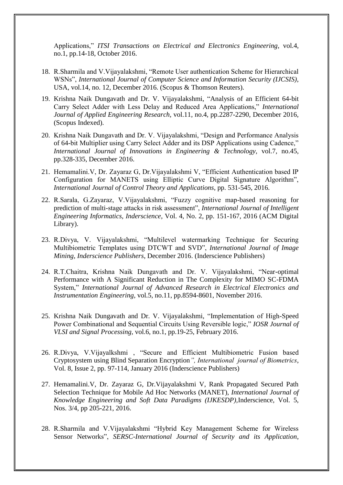Applications," *ITSI Transactions on Electrical and Electronics Engineering*, vol.4, no.1, pp.14-18, October 2016.

- 18. R.Sharmila and V.Vijayalakshmi, "Remote User authentication Scheme for Hierarchical WSNs", *International Journal of Computer Science and Information Security (IJCSIS)*, USA, vol.14, no. 12, December 2016. (Scopus & Thomson Reuters).
- 19. Krishna Naik Dungavath and Dr. V. Vijayalakshmi, "Analysis of an Efficient 64-bit Carry Select Adder with Less Delay and Reduced Area Applications," *International Journal of Applied Engineering Research,* vol.11, no.4, pp.2287-2290, December 2016, (Scopus Indexed).
- 20. Krishna Naik Dungavath and Dr. V. Vijayalakshmi, "Design and Performance Analysis of 64-bit Multiplier using Carry Select Adder and its DSP Applications using Cadence," *International Journal of Innovations in Engineering & Technology,* vol.7, no.45, pp.328-335, December 2016.
- 21. Hemamalini.V, Dr. Zayaraz G, Dr.Vijayalakshmi V, "Efficient Authentication based IP Configuration for MANETS using Elliptic Curve Digital Signature Algorithm", *International Journal of Control Theory and Applications*, pp. 531-545, 2016.
- 22. R.Sarala, G.Zayaraz, V.Vijayalakshmi, "Fuzzy cognitive map-based reasoning for prediction of multi-stage attacks in risk assessment", *International Journal of Intelligent Engineering Informatics, Inderscience*, Vol. 4, No. 2, pp. 151-167, 2016 (ACM Digital Library).
- 23. R.Divya, V. Vijayalakshmi, "Multilevel watermarking Technique for Securing Multibiometric Templates using DTCWT and SVD", *International Journal of Image Mining, Inderscience Publishers*, December 2016. (Inderscience Publishers)
- 24. R.T.Chaitra, Krishna Naik Dungavath and Dr. V. Vijayalakshmi, "Near-optimal Performance with A Significant Reduction in The Complexity for MIMO SC-FDMA System," *International Journal of Advanced Research in Electrical Electronics and Instrumentation Engineering,* vol.5, no.11, pp.8594-8601, November 2016.
- 25. Krishna Naik Dungavath and Dr. V. Vijayalakshmi, "Implementation of High-Speed Power Combinational and Sequential Circuits Using Reversible logic," *IOSR Journal of VLSI and Signal Processing,* vol.6, no.1, pp.19-25, February 2016.
- 26. R.Divya, V.Vijayalkshmi , "Secure and Efficient Multibiometric Fusion based Cryptosystem using Blind Separation Encryption*", International journal of Biometrics*, Vol. 8, Issue 2, pp. 97-114, January 2016 (Inderscience Publishers)
- 27. Hemamalini.V, Dr. Zayaraz G, Dr.Vijayalakshmi V, Rank Propagated Secured Path Selection Technique for Mobile Ad Hoc Networks (MANET), *International Journal of Knowledge Engineering and Soft Data Paradigms (IJKESDP),*Inderscience, Vol. 5, Nos. 3/4, pp 205-221, 2016.
- 28. R.Sharmila and V.Vijayalakshmi "Hybrid Key Management Scheme for Wireless Sensor Networks", *SERSC-International Journal of Security and its Application*,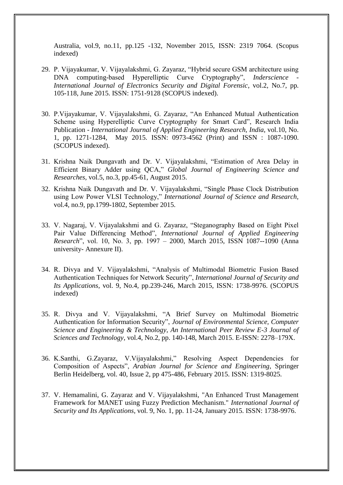Australia, vol.9, no.11, pp.125 -132, November 2015, ISSN: 2319 7064. (Scopus indexed)

- 29. P. Vijayakumar, V. Vijayalakshmi, G. Zayaraz, "Hybrid secure GSM architecture using DNA computing-based Hyperelliptic Curve Cryptography", *Inderscience International Journal of Electronics Security and Digital Forensic*, vol.2, No.7, pp. 105-118, June 2015. ISSN: 1751-9128 (SCOPUS indexed).
- 30. P.Vijayakumar, V. Vijayalakshmi, G. Zayaraz, "An Enhanced Mutual Authentication Scheme using Hyperelliptic Curve Cryptography for Smart Card", Research India Publication - *International Journal of Applied Engineering Research, India*, vol.10, No. 1, pp. 1271-1284, May 2015. ISSN: 0973-4562 (Print) and ISSN : 1087-1090. (SCOPUS indexed).
- 31. Krishna Naik Dungavath and Dr. V. Vijayalakshmi, "Estimation of Area Delay in Efficient Binary Adder using QCA," *Global Journal of Engineering Science and Researches,* vol.5, no.3, pp.45-61, August 2015.
- 32. Krishna Naik Dungavath and Dr. V. Vijayalakshmi, "Single Phase Clock Distribution using Low Power VLSI Technology," *International Journal of Science and Research,*  vol.4, no.9, pp.1799-1802, September 2015.
- 33. V. Nagaraj, V. Vijayalakshmi and G. Zayaraz, "Steganography Based on Eight Pixel Pair Value Differencing Method", *International Journal of Applied Engineering Research*", vol. 10, No. 3, pp. 1997 – 2000, March 2015, ISSN 1087--1090 (Anna university- Annexure II).
- 34. R. Divya and V. Vijayalakshmi, "Analysis of Multimodal Biometric Fusion Based Authentication Techniques for Network Security", *International Journal of Security and Its Applications*, vol. 9, No.4, pp.239-246, March 2015, ISSN: 1738-9976. (SCOPUS indexed)
- 35. R. Divya and V. Vijayalakshmi, "A Brief Survey on Multimodal Biometric Authentication for Information Security", *Journal of Environmental Science, Computer Science and Engineering & Technology*, *An International Peer Review E-3 Journal of Sciences and Technology*, vol.4, No.2, pp. 140-148, March 2015. E-ISSN: 2278–179X.
- 36. K.Santhi, G.Zayaraz, V.Vijayalakshmi," Resolving Aspect Dependencies for Composition of Aspects", *Arabian Journal for Science and Engineering*, Springer Berlin Heidelberg, vol. 40, Issue 2, pp 475-486, February 2015. ISSN: 1319-8025.
- 37. V. Hemamalini, G. Zayaraz and V. Vijayalakshmi, "An Enhanced Trust Management Framework for MANET using Fuzzy Prediction Mechanism." *International Journal of Security and Its Applications*, vol. 9, No. 1, pp. 11-24, January 2015. ISSN: 1738-9976.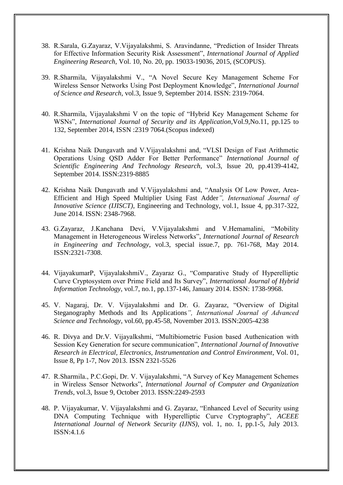- 38. R.Sarala, G.Zayaraz, V.Vijayalakshmi, S. Aravindanne, "Prediction of Insider Threats for Effective Information Security Risk Assessment", *International Journal of Applied Engineering Research*, Vol. 10, No. 20, pp. 19033-19036, 2015, (SCOPUS).
- 39. R.Sharmila, Vijayalakshmi V., "A Novel Secure Key Management Scheme For Wireless Sensor Networks Using Post Deployment Knowledge", *International Journal of Science and Research*, vol.3, Issue 9, September 2014. ISSN: 2319-7064.
- 40. R.Sharmila, Vijayalakshmi V on the topic of "Hybrid Key Management Scheme for WSNs", *International Journal of Security and its Application*,Vol.9,No.11, pp.125 to 132, September 2014, ISSN :2319 7064.(Scopus indexed)
- 41. Krishna Naik Dungavath and V.Vijayalakshmi and, "VLSI Design of Fast Arithmetic Operations Using QSD Adder For Better Performance" *International Journal of Scientific Engineering And Technology Research*, vol.3, Issue 20, pp.4139-4142, September 2014. ISSN:2319-8885
- 42. Krishna Naik Dungavath and V.Vijayalakshmi and, "Analysis Of Low Power, Area-Efficient and High Speed Multiplier Using Fast Adder*", International Journal of Innovative Science (IJISCT)*, Engineering and Technology, vol.1, Issue 4, pp.317-322, June 2014. ISSN: 2348-7968.
- 43. G.Zayaraz, J.Kanchana Devi, V.Vijayalakshmi and V.Hemamalini, "Mobility Management in Heterogeneous Wireless Networks", *International Journal of Research in Engineering and Technology*, vol.3, special issue.7, pp. 761-768, May 2014. ISSN:2321-7308.
- 44. VijayakumarP, VijayalakshmiV., Zayaraz G., "Comparative Study of Hyperelliptic Curve Cryptosystem over Prime Field and Its Survey", *International Journal of Hybrid Information Technology,* vol.7, no.1, pp.137-146, January 2014. ISSN: 1738-9968.
- 45. V. Nagaraj, Dr. V. Vijayalakshmi and Dr. G. Zayaraz, "Overview of Digital Steganography Methods and Its Applications*", International Journal of Advanced Science and Technology*, vol.60, pp.45-58, November 2013. ISSN:2005-4238
- 46. R. Divya and Dr.V. Vijayalkshmi, "Multibiometric Fusion based Authenication with Session Key Generation for secure communication", *International Journal of Innovative Research in Electrical, Electronics, Instrumentation and Control Environment*, Vol. 01, Issue 8, Pp 1-7, Nov 2013. ISSN 2321-5526
- 47. R.Sharmila., P.C.Gopi, Dr. V. Vijayalakshmi, "A Survey of Key Management Schemes in Wireless Sensor Networks", *International Journal of Computer and Organization Trends*, vol.3, Issue 9, October 2013. ISSN:2249-2593
- 48. P. Vijayakumar, V. Vijayalakshmi and G. Zayaraz, "Enhanced Level of Security using DNA Computing Technique with Hyperelliptic Curve Cryptography", *ACEEE International Journal of Network Security (IJNS)*, vol. 1, no. 1, pp.1-5, July 2013. ISSN:4.1.6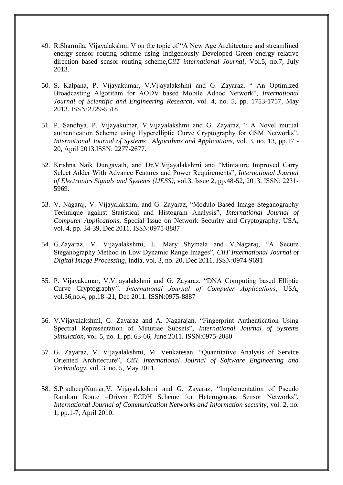- 49. R.Sharmila, Vijayalakshmi V on the topic of "A New Age Architecture and streamlined energy sensor routing scheme using Indigenously Developed Green energy relative direction based sensor routing scheme,*CiiT international Journal*, Vol.5, no.7, July 2013.
- 50. S. Kalpana, P. Vijayakumar, V.Vijayalakshmi and G. Zayaraz, " An Optimized Broadcasting Algorithm for AODV based Mobile Adhoc Network", *International Journal of Scientific and Engineering Research*, vol. 4, no. 5, pp. 1753-1757, May 2013. ISSN:2229-5518
- 51. P. Sandhya, P. Vijayakumar, V.Vijayalakshmi and G. Zayaraz, " A Novel mutual authentication Scheme using Hyperelliptic Curve Cryptography for GSM Networks", *International Journal of Systems , Algorithms and Applications*, vol. 3, no. 13, pp.17 - 20, April 2013.ISSN: 2277-2677.
- 52. Krishna Naik Dungavath, and Dr.V.Vijayalakshmi and "Miniature Improved Carry Select Adder With Advance Features and Power Requirements", *International Journal of Electronics Signals and Systems (IJESS)*, vol.3, Issue 2, pp.48-52, 2013. ISSN: 2231‐ 5969.
- 53. V. Nagaraj, V. Vijayalakshmi and G. Zayaraz, "Modulo Based Image Steganography Technique against Statistical and Histogram Analysis", *International Journal of Computer Applications*, Special Issue on Network Security and Cryptography, USA, vol. 4, pp. 34-39, Dec 2011. ISSN:0975-8887
- 54. G.Zayaraz, V. Vijayalakshmi, L. Mary Shymala and V.Nagaraj, "A Secure Steganography Method in Low Dynamic Range Images", *CiiT International Journal of Digital Image Processing*, India, vol. 3, no. 20, Dec 2011. ISSN:0974-9691
- 55. P. Vijayakumar, V.Vijayalakshmi and G. Zayaraz, "DNA Computing based Elliptic Curve Cryptography*", International Journal of Computer Applications*, USA, vol.36,no.4, pp.18 -21, Dec 2011. ISSN:0975-8887
- 56. V.Vijayalakshmi, G. Zayaraz and A. Nagarajan, "Fingerprint Authentication Using Spectral Representation of Minutiae Subsets", *International Journal of Systems Simulation*, vol. 5, no. 1, pp. 63-66, June 2011. ISSN:0975-2080
- 57. G. Zayaraz, V. Vijayalakshmi, M. Venkatesan, "Quantitative Analysis of Service Oriented Architecture", *CiiT International Journal of Software Engineering and Technology*, vol. 3, no. 5, May 2011.
- 58. S.PradheepKumar,V. Vijayalakshmi and G. Zayaraz, "Implementation of Pseudo Random Route –Driven ECDH Scheme for Heterogenous Sensor Networks", *International Journal of Communication Networks and Information security*, vol. 2, no. 1, pp.1-7, April 2010.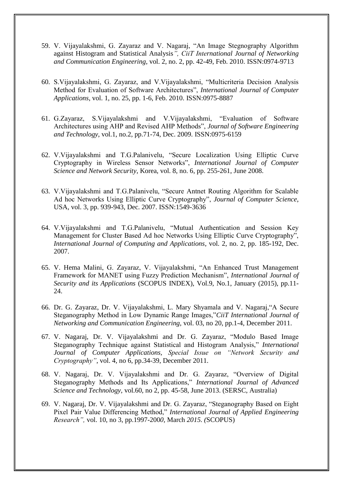- 59. V. Vijayalakshmi, G. Zayaraz and V. Nagaraj, "An Image Stegnography Algorithm against Histogram and Statistical Analysis*", CiiT International Journal of Networking and Communication Engineering*, vol. 2, no. 2, pp. 42-49, Feb. 2010. ISSN:0974-9713
- 60. S.Vijayalakshmi, G. Zayaraz, and V.Vijayalakshmi, "Multicriteria Decision Analysis Method for Evaluation of Software Architectures", *International Journal of Computer Applications*, vol. 1, no. 25, pp. 1-6, Feb. 2010. ISSN:0975-8887
- 61. G.Zayaraz, S.Vijayalakshmi and V.Vijayalakshmi, "Evaluation of Software Architectures using AHP and Revised AHP Methods", *Journal of Software Engineering and Technology*, vol.1, no.2, pp.71-74, Dec. 2009. ISSN:0975-6159
- 62. V.Vijayalakshmi and T.G.Palanivelu, "Secure Localization Using Elliptic Curve Cryptography in Wireless Sensor Networks", *International Journal of Computer Science and Network Security*, Korea, vol. 8, no. 6, pp. 255-261, June 2008.
- 63. V.Vijayalakshmi and T.G.Palanivelu, "Secure Antnet Routing Algorithm for Scalable Ad hoc Networks Using Elliptic Curve Cryptography", *Journal of Computer Science*, USA, vol. 3, pp. 939-943, Dec. 2007. ISSN:1549-3636
- 64. V.Vijayalakshmi and T.G.Palanivelu, "Mutual Authentication and Session Key Management for Cluster Based Ad hoc Networks Using Elliptic Curve Cryptography", *International Journal of Computing and Applications*, vol. 2, no. 2, pp. 185-192, Dec. 2007.
- 65. V. Hema Malini, G. Zayaraz, V. Vijayalakshmi, "An Enhanced Trust Management Framework for MANET using Fuzzy Prediction Mechanism", *International Journal of Security and its Applications* (SCOPUS INDEX), Vol.9, No.1, January (2015), pp.11- 24.
- 66. Dr. G. Zayaraz, Dr. V. Vijayalakshmi, L. Mary Shyamala and V. Nagaraj,"A Secure Steganography Method in Low Dynamic Range Images,"*CiiT International Journal of Networking and Communication Engineering,* vol. 03, no 20, pp.1-4, December 2011.
- 67. V. Nagaraj, Dr. V. Vijayalakshmi and Dr. G. Zayaraz, "Modulo Based Image Steganography Technique against Statistical and Histogram Analysis," *International Journal of Computer Applications, Special Issue on "Network Security and Cryptography"*, vol. 4, no 6, pp.34-39, December 2011.
- 68. V. Nagaraj, Dr. V. Vijayalakshmi and Dr. G. Zayaraz, "Overview of Digital Steganography Methods and Its Applications," *International Journal of Advanced Science and Technology,* vol.60, no 2, pp. 45-58, June 2013. (SERSC, Australia)
- 69. V. Nagaraj, Dr. V. Vijayalakshmi and Dr. G. Zayaraz, "Steganography Based on Eight Pixel Pair Value Differencing Method," *International Journal of Applied Engineering Research",* vol. 10, no 3, pp.1997-200*0,* March *2015. (*SCOPUS)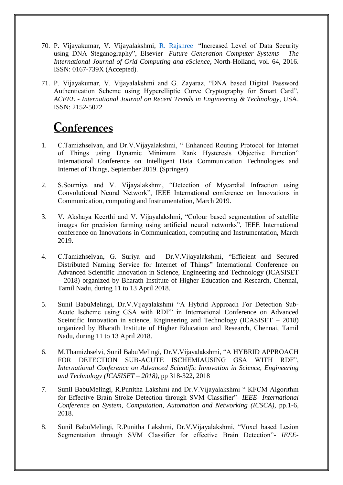- 70. P. Vijayakumar, V. Vijayalakshmi, [R. Rajshree](https://www.inderscienceonline.com/author/Rajashree%2C+R) "Increased Level of Data Security using DNA Steganography", Elsevier *-Future Generation Computer Systems - The International Journal of Grid Computing and eScience*, North-Holland, vol. 64, 2016. ISSN: 0167-739X (Accepted).
- 71. P. Vijayakumar, V. Vijayalakshmi and G. Zayaraz, "DNA based Digital Password Authentication Scheme using Hyperelliptic Curve Cryptography for Smart Card", *ACEEE - International Journal on Recent Trends in Engineering & Technology*, USA. ISSN: 2152-5072

#### **Conferences**

- 1. C.Tamizhselvan, and Dr.V.Vijayalakshmi, " Enhanced Routing Protocol for Internet of Things using Dynamic Minimum Rank Hysteresis Objective Function" International Conference on Intelligent Data Communication Technologies and Internet of Things, September 2019. (Springer)
- 2. S.Soumiya and V. Vijayalakshmi, "Detection of Mycardial Infraction using Convolutional Neural Network", IEEE International conference on Innovations in Communication, computing and Instrumentation, March 2019.
- 3. V. Akshaya Keerthi and V. Vijayalakshmi, "Colour based segmentation of satellite images for precision farming using artificial neural networks", IEEE International conference on Innovations in Communication, computing and Instrumentation, March 2019.
- 4. C.Tamizhselvan, G. Suriya and Dr.V.Vijayalakshmi, "Efficient and Secured Distributed Naming Service for Internet of Things" International Conference on Advanced Scientific Innovation in Science, Engineering and Technology (ICASISET – 2018) organized by Bharath Institute of Higher Education and Research, Chennai, Tamil Nadu, during 11 to 13 April 2018.
- 5. Sunil BabuMelingi, Dr.V.Vijayalakshmi "A Hybrid Approach For Detection Sub-Acute Ischeme using GSA with RDF" in International Conference on Advanced Sceintific Innovation in science, Engineering and Technology (ICASISET – 2018) organized by Bharath Institute of Higher Education and Research, Chennai, Tamil Nadu, during 11 to 13 April 2018.
- 6. M.Thamizhselvi, Sunil BabuMelingi, Dr.V.Vijayalakshmi, "A HYBRID APPROACH FOR DETECTION SUB-ACUTE ISCHEMIAUSING GSA WITH RDF", *International Conference on Advanced Scientific Innovation in Science, Engineering and Technology (ICASISET – 2018)*, pp 318-322, 2018
- 7. Sunil BabuMelingi, R.Punitha Lakshmi and Dr.V.Vijayalakshmi " KFCM Algorithm for Effective Brain Stroke Detection through SVM Classifier"- *IEEE- International Conference on System, Computation, Automation and Networking (ICSCA)*, pp.1-6, 2018.
- 8. Sunil BabuMelingi, R.Punitha Lakshmi, Dr.V.Vijayalakshmi, "Voxel based Lesion Segmentation through SVM Classifier for effective Brain Detection"- *IEEE-*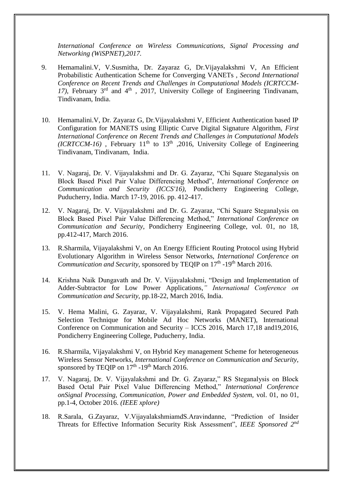*International Conference on Wireless Communications, Signal Processing and Networking (WiSPNET),2017.* 

- 9. Hemamalini.V, V.Susmitha, Dr. Zayaraz G, Dr.Vijayalakshmi V, An Efficient Probabilistic Authentication Scheme for Converging VANETs , *Second International Conference on Recent Trends and Challenges in Computational Models (ICRTCCM-*17), February  $3<sup>rd</sup>$  and  $4<sup>th</sup>$ , 2017, University College of Engineering Tindivanam, Tindivanam, India.
- 10. Hemamalini.V, Dr. Zayaraz G, Dr.Vijayalakshmi V, Efficient Authentication based IP Configuration for MANETS using Elliptic Curve Digital Signature Algorithm, *First International Conference on Recent Trends and Challenges in Computational Models (ICRTCCM-16)*, February 11<sup>th</sup> to 13<sup>th</sup>, 2016, University College of Engineering Tindivanam, Tindivanam, India.
- 11. V. Nagaraj, Dr. V. Vijayalakshmi and Dr. G. Zayaraz, "Chi Square Steganalysis on Block Based Pixel Pair Value Differencing Method", *International Conference on Communication and Security (ICCS'16)*, Pondicherry Engineering College, Puducherry, India. March 17-19, 2016. pp. 412-417.
- 12. V. Nagaraj, Dr. V. Vijayalakshmi and Dr. G. Zayaraz, "Chi Square Steganalysis on Block Based Pixel Pair Value Differencing Method," *International Conference on Communication and Security*, Pondicherry Engineering College, vol. 01, no 18, pp.412-417, March 2016.
- 13. R.Sharmila, Vijayalakshmi V, on An Energy Efficient Routing Protocol using Hybrid Evolutionary Algorithm in Wireless Sensor Networks, *International Conference on*  Communication and Security, sponsored by TEQIP on 17<sup>th</sup> -19<sup>th</sup> March 2016.
- 14. Krishna Naik Dungavath and Dr. V. Vijayalakshmi, "Design and Implementation of Adder-Subtractor for Low Power Applications,*" International Conference on Communication and Security,* pp.18-22, March 2016, India.
- 15. V. Hema Malini, G. Zayaraz, V. Vijayalakshmi, Rank Propagated Secured Path Selection Technique for Mobile Ad Hoc Networks (MANET), International Conference on Communication and Security – ICCS 2016, March 17,18 and19,2016, Pondicherry Engineering College, Puducherry, India.
- 16. R.Sharmila, Vijayalakshmi V, on Hybrid Key management Scheme for heterogeneous Wireless Sensor Networks, *International Conference on Communication and Security,*  sponsored by TEQIP on  $17<sup>th</sup>$  -19<sup>th</sup> March 2016.
- 17. V. Nagaraj, Dr. V. Vijayalakshmi and Dr. G. Zayaraz," RS Steganalysis on Block Based Octal Pair Pixel Value Differencing Method," *International Conference onSignal Processing, Communication, Power and Embedded System,* vol. 01, no 01, pp.1-4, October 2016. *(IEEE xplore)*
- 18. R.Sarala, G.Zayaraz, V.VijayalakshmiamdS.Aravindanne, "Prediction of Insider Threats for Effective Information Security Risk Assessment", *IEEE Sponsored 2nd*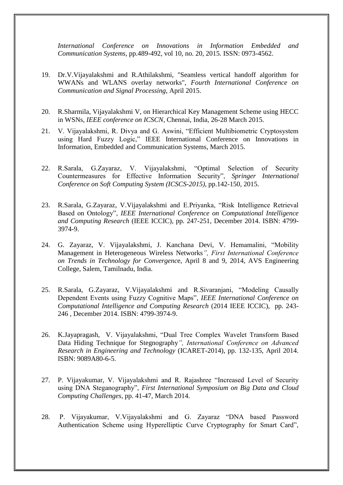*International Conference on Innovations in Information Embedded and Communication Systems*, pp.489-492, vol 10, no. 20, 2015. ISSN: 0973-4562.

- 19. Dr.V.Vijayalakshmi and R.Athilakshmi, "Seamless vertical handoff algorithm for WWANs and WLANS overlay networks", *Fourth International Conference on Communication and Signal Processing*, April 2015.
- 20. R.Sharmila, Vijayalakshmi V, on Hierarchical Key Management Scheme using HECC in WSNs, *IEEE conference on ICSCN*, Chennai, India, 26-28 March 2015.
- 21. V. Vijayalakshmi, R. Divya and G. Aswini, "Efficient Multibiometric Cryptosystem using Hard Fuzzy Logic," IEEE International Conference on Innovations in Information, Embedded and Communication Systems, March 2015.
- 22. R.Sarala, G.Zayaraz, V. Vijayalakshmi, "Optimal Selection of Security Countermeasures for Effective Information Security", *Springer International Conference on Soft Computing System (ICSCS-2015)*, pp.142-150, 2015.
- 23. R.Sarala, G.Zayaraz, V.Vijayalakshmi and E.Priyanka, "Risk Intelligence Retrieval Based on Ontology", *IEEE International Conference on Computational Intelligence and Computing Research* (IEEE ICCIC), pp. 247-251, December 2014. ISBN: 4799- 3974-9.
- 24. G. Zayaraz, V. Vijayalakshmi, J. Kanchana Devi, V. Hemamalini, "Mobility Management in Heterogeneous Wireless Networks*", First International Conference on Trends in Technology for Convergenc*e, April 8 and 9, 2014, AVS Engineering College, Salem, Tamilnadu, India.
- 25. R.Sarala, G.Zayaraz, V.Vijayalakshmi and R.Sivaranjani, "Modeling Causally Dependent Events using Fuzzy Cognitive Maps", *IEEE International Conference on Computational Intelligence and Computing Research* (2014 IEEE ICCIC), pp. 243- 246 , December 2014. ISBN: 4799-3974-9.
- 26. K.Jayapragash, V. Vijayalakshmi, "Dual Tree Complex Wavelet Transform Based Data Hiding Technique for Stegnography*", International Conference on Advanced Research in Engineering and Technology* (ICARET-2014), pp. 132-135, April 2014. ISBN: 9089A80-6-5.
- 27. P. Vijayakumar, V. Vijayalakshmi and R. Rajashree "Increased Level of Security using DNA Steganography", *First International Symposium on Big Data and Cloud Computing Challenges*, pp. 41-47, March 2014.
- 28. P. Vijayakumar, V.Vijayalakshmi and G. Zayaraz "DNA based Password Authentication Scheme using Hyperelliptic Curve Cryptography for Smart Card",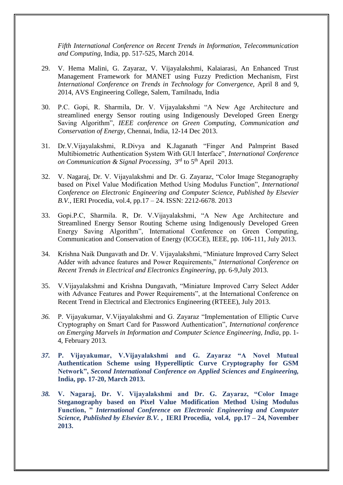*Fifth International Conference on Recent Trends in Information, Telecommunication and Computing*, India, pp. 517-525, March 2014.

- 29. V. Hema Malini, G. Zayaraz, V. Vijayalakshmi, Kalaiarasi, An Enhanced Trust Management Framework for MANET using Fuzzy Prediction Mechanism, First *International Conference on Trends in Technology for Convergence,* April 8 and 9, 2014, AVS Engineering College, Salem, Tamilnadu, India
- 30. P.C. Gopi, R. Sharmila, Dr. V. Vijayalakshmi "A New Age Architecture and streamlined energy Sensor routing using Indigenously Developed Green Energy Saving Algorithm", *IEEE conference on Green Computing, Communication and Conservation of Energy*, Chennai, India, 12-14 Dec 2013.
- 31. Dr.V.Vijayalakshmi, R.Divya and K.Jaganath "Finger And Palmprint Based Multibiometric Authentication System With GUI Interface", *International Conference on Communication & Signal Processing*, 3<sup>rd</sup> to 5<sup>th</sup> April 2013.
- 32. V. Nagaraj, Dr. V. Vijayalakshmi and Dr. G. Zayaraz, "Color Image Steganography based on Pixel Value Modification Method Using Modulus Function", *International Conference on Electronic Engineering and Computer Science, Published by Elsevier B.V.*, IERI Procedia, vol.4, pp.17 – 24. ISSN: 2212-6678. 2013
- 33. Gopi.P.C, Sharmila. R, Dr. V.Vijayalakshmi, "A New Age Architecture and Streamlined Energy Sensor Routing Scheme using Indigenously Developed Green Energy Saving Algorithm", International Conference on Green Computing, Communication and Conservation of Energy (ICGCE), IEEE, pp. 106-111, July 2013.
- 34. Krishna Naik Dungavath and Dr. V. Vijayalakshmi, "Miniature Improved Carry Select Adder with advance features and Power Requirements," *International Conference on Recent Trends in Electrical and Electronics Engineering,* pp. 6-9,July 2013.
- 35. V.Vijayalakshmi and Krishna Dungavath, "Miniature Improved Carry Select Adder with Advance Features and Power Requirements", at the International Conference on Recent Trend in Electrical and Electronics Engineering (RTEEE), July 2013.
- *36.* P. Vijayakumar, V.Vijayalakshmi and G. Zayaraz "Implementation of Elliptic Curve Cryptography on Smart Card for Password Authentication", *International conference on Emerging Marvels in Information and Computer Science Engineering, India*, pp. 1- 4, February 2013*.*
- *37.* **P. Vijayakumar, V.Vijayalakshmi and G. Zayaraz "A Novel Mutual Authentication Scheme using Hyperelliptic Curve Cryptography for GSM Network",** *Second International Conference on Applied Sciences and Engineering,*  **India, pp. 17-20, March 2013.**
- *38.* **V. Nagaraj, Dr. V. Vijayalakshmi and Dr. G. Zayaraz, "Color Image Steganography based on Pixel Value Modification Method Using Modulus Function, "** *International Conference on Electronic Engineering and Computer Science, Published by Elsevier B.V.* **, IERI Procedia, vol.4, pp.17 – 24, November 2013.**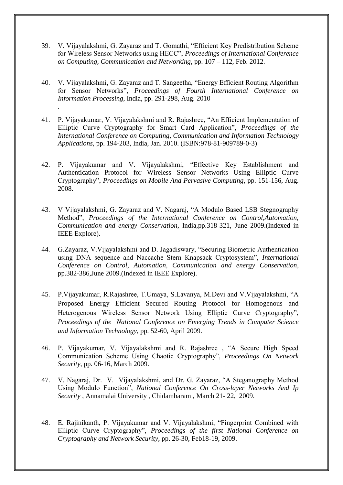- 39. V. Vijayalakshmi, G. Zayaraz and T. Gomathi, "Efficient Key Predistribution Scheme for Wireless Sensor Networks using HECC", *Proceedings of International Conference on Computing, Communication and Networking*, pp. 107 – 112, Feb. 2012.
- 40. V. Vijayalakshmi, G. Zayaraz and T. Sangeetha, "Energy Efficient Routing Algorithm for Sensor Networks", *Proceedings of Fourth International Conference on Information Processing*, India, pp. 291-298, Aug. 2010

.

- 41. P. Vijayakumar, V. Vijayalakshmi and R. Rajashree, "An Efficient Implementation of Elliptic Curve Cryptography for Smart Card Application", *Proceedings of the International Conference on Computing, Communication and Information Technology Applications*, pp. 194-203, India, Jan. 2010. (ISBN:978-81-909789-0-3)
- 42. P. Vijayakumar and V. Vijayalakshmi, "Effective Key Establishment and Authentication Protocol for Wireless Sensor Networks Using Elliptic Curve Cryptography", *Proceedings on Mobile And Pervasive Computing*, pp. 151-156, Aug. 2008.
- 43. V Vijayalakshmi, G. Zayaraz and V. Nagaraj, "A Modulo Based LSB Stegnography Method", *Proceedings of the International Conference on Control,Automation, Communication and energy Conservation*, India,pp.318-321, June 2009.(Indexed in IEEE Explore).
- 44. G.Zayaraz, V.Vijayalakshmi and D. Jagadiswary, "Securing Biometric Authentication using DNA sequence and Naccache Stern Knapsack Cryptosystem", *International Conference on Control, Automation, Communication and energy Conservation*, pp.382-386,June 2009.(Indexed in IEEE Explore).
- 45. P.Vijayakumar, R.Rajashree, T.Umaya, S.Lavanya, M.Devi and V.Vijayalakshmi, "A Proposed Energy Efficient Secured Routing Protocol for Homogenous and Heterogenous Wireless Sensor Network Using Elliptic Curve Cryptography", *Proceedings of the National Conference on Emerging Trends in Computer Science and Information Technology*, pp. 52-60, April 2009.
- 46. P. Vijayakumar, V. Vijayalakshmi and R. Rajashree , "A Secure High Speed Communication Scheme Using Chaotic Cryptography", *Proceedings On Network Security*, pp. 06-16, March 2009.
- 47. V. Nagaraj, Dr. V. Vijayalakshmi, and Dr. G. Zayaraz, "A Steganography Method Using Modulo Function", *National Conference On Cross-layer Networks And Ip Security ,* Annamalai University , Chidambaram , March 21- 22, 2009.
- 48. E. Rajinikanth, P. Vijayakumar and V. Vijayalakshmi, "Fingerprint Combined with Elliptic Curve Cryptography", *Proceedings of the first National Conference on Cryptography and Network Security*, pp. 26-30, Feb18-19, 2009.